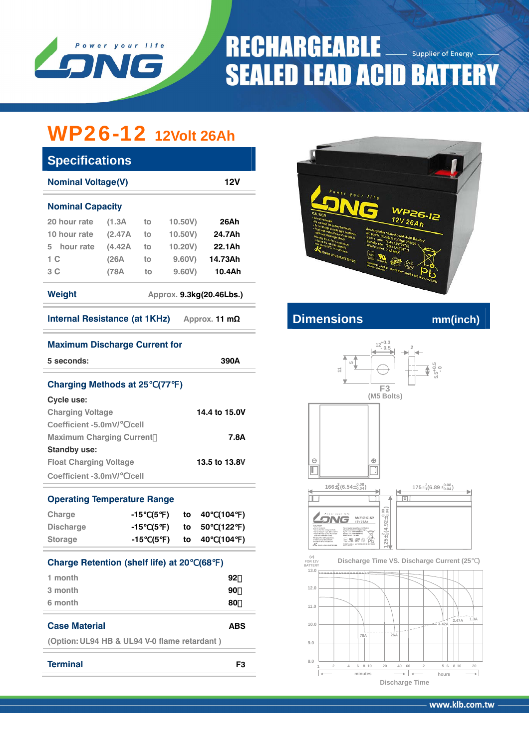

# **RECHARGEABLE** Supplier of Energy **SEALED LEAD ACID BATTERY**

# WP26-12 **12Volt 26Ah**

| <b>Specifications</b>                          |         |    |         |         |  |  |  |  |  |
|------------------------------------------------|---------|----|---------|---------|--|--|--|--|--|
| <b>Nominal Voltage(V)</b><br>12V               |         |    |         |         |  |  |  |  |  |
| <b>Nominal Capacity</b>                        |         |    |         |         |  |  |  |  |  |
| 20 hour rate                                   | (1.3A   | to | 10,50V  | 26Ah    |  |  |  |  |  |
| 10 hour rate                                   | (2.47A) | to | 10.50V) | 24.7Ah  |  |  |  |  |  |
| hour rate<br>5.                                | (4.42A) | to | 10.20V) | 22.1Ah  |  |  |  |  |  |
| 1 C                                            | (26A)   | to | 9,60V   | 14.73Ah |  |  |  |  |  |
| 3 C                                            | (78A    | to | 9.60V   | 10.4Ah  |  |  |  |  |  |
| Weight<br>Approx. 9.3kg(20.46Lbs.)             |         |    |         |         |  |  |  |  |  |
| Internal Resistance (at 1KHz)<br>Approx. 11 mΩ |         |    |         |         |  |  |  |  |  |



## **Internal Resistance (at 1THz) Approximate** mm(inch)





### **Maximum Discharge Current for**

| 5 seconds:                                                       | 390A |     |  |                   |          |                       |  |
|------------------------------------------------------------------|------|-----|--|-------------------|----------|-----------------------|--|
| <b>Charging Methods at 25 (77)</b>                               |      |     |  |                   |          |                       |  |
| Cycle use:                                                       |      |     |  |                   |          |                       |  |
| <b>Charging Voltage</b>                                          |      |     |  |                   |          | 14.4 to 15.0V         |  |
| Coefficient -5.0mV/ /cell                                        |      |     |  |                   |          |                       |  |
| <b>Maximum Charging Current</b>                                  |      |     |  |                   |          | 7.8A                  |  |
| <b>Standby use:</b>                                              |      |     |  |                   |          |                       |  |
| <b>Float Charging Voltage</b>                                    |      |     |  |                   |          | 13.5 to 13.8V         |  |
| Coefficient -3.0mV/ /cell                                        |      |     |  |                   |          |                       |  |
| <b>Operating Temperature Range</b><br>Charge<br><b>Discharge</b> | -15  | (5) |  | to<br>-15 (5 ) to | 40<br>50 | (104)<br>(122)        |  |
| <b>Storage</b>                                                   |      |     |  |                   |          | -15 (5 ) to 40 (104 ) |  |
| <b>Charge Retention (shelf life) at 20</b>                       |      |     |  |                   | (68)     |                       |  |
| 1 month                                                          |      |     |  |                   |          | 92                    |  |
| 3 month                                                          |      |     |  |                   |          | 90                    |  |
| 6 month                                                          |      |     |  |                   |          | 80                    |  |
| <b>Case Material</b>                                             |      |     |  |                   |          | ABS                   |  |

**(Option: UL94 HB & UL94 V-0 flame retardant )** 

www.klb.com.tw